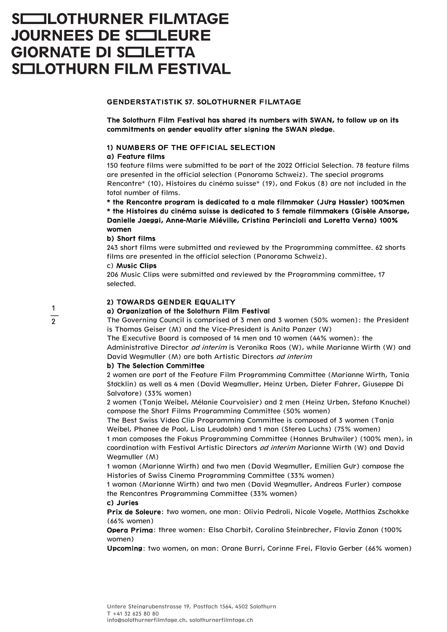# **SCOULOTHURNER FILMTAGE JOURNEES DE SIELEURE GIORNATE DI SIELETTA SCILOTHURN FILM FESTIVAL**

# GENDERSTATISTIK 57. SOLOTHURNER FILMTAGE

The Solothurn Film Festival has shared its numbers with SWAN, to follow up on its commitments on gender equality after signing the SWAN pledge.

## 1) NUMBERS OF THE OFFICIAL SELECTION

## a) Feature films

150 feature films were submitted to be part of the 2022 Official Selection. 78 feature films are presented in the official selection (Panorama Schweiz). The special programs Rencontre\* (10), Histoires du cinéma suisse\* (19), and Fokus (8) are not included in the total number of films.

\* the Rencontre program is dedicated to a male filmmaker (Ju**̈**rg Hassler) 100%men \* the Histoires du cinéma suisse is dedicated to 5 female filmmakers (Gisèle Ansorge, Danielle Jaeggi, Anne-Marie Miéville, Cristina Perincioli and Loretta Verna) 100% women

## b) Short films

243 short films were submitted and reviewed by the Programming committee. 62 shorts films are presented in the official selection (Panorama Schweiz).

## c) Music Clips

1  $\overline{2}$  206 Music Clips were submitted and reviewed by the Programming committee, 17 selected.

# 2) TOWARDS GENDER EQUALITY

## a) Organization of the Solothurn Film Festival

The Governing Council is comprised of 3 men and 3 women (50% women): the President is Thomas Geiser (M) and the Vice-President is Anita Panzer (W)

The Executive Board is composed of 14 men and 10 women (44% women): the Administrative Director *ad interim* is Veronika Roos (W), while Marianne Wirth (W) and David Wegmuller (M) are both Artistic Directors *ad interim* 

## b) The Selection Committee

2 women are part of the Feature Film Programming Committee (Marianne Wirth, Tania Stöcklin) as well as 4 men (David Wegmüller, Heinz Urben, Dieter Fahrer, Giuseppe Di Salvatore) (33% women)

2 women (Tanja Weibel, Mélanie Courvoisier) and 2 men (Heinz Urben, Stefano Knuchel) compose the Short Films Programming Committee (50% women)

The Best Swiss Video Clip Programming Committee is composed of 3 women (Tanja Weibel, Phanee de Pool, Lisa Leudolph) and 1 man (Stereo Luchs) (75% women)

1 man composes the Fokus Programming Committee (Hannes Brühwiler) (100% men), in coordination with Festival Artistic Directors ad interim Marianne Wirth (W) and David Wegmuller (M)

1 woman (Marianne Wirth) and two men (David Wegmüller, Emilien Gür) compose the Histories of Swiss Cinema Programming Committee (33% women)

1 woman (Marianne Wirth) and two men (David Wegmüller, Andreas Furler) compose the Rencontres Programming Committee (33% women)

## c) Juries

Prix de Soleure: two women, one man: Olivia Pedroli, Nicole Vogele, Matthias Zschokke (66% women)

Opera Prima: three women: Elsa Charbit, Carolina Steinbrecher, Flavia Zanon (100% women)

Upcoming: two women, on man: Orane Burri, Corinne Frei, Flavio Gerber (66% women)